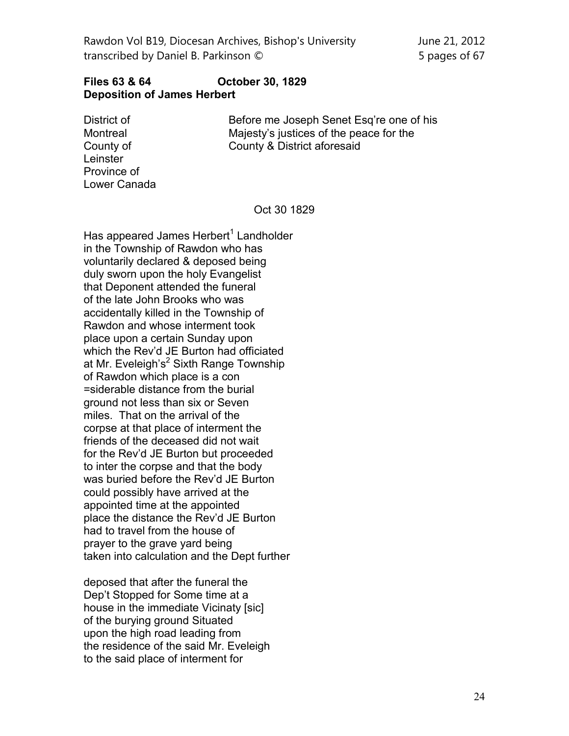## **Files 63 & 64 October 30, 1829 Deposition of James Herbert**

District of Montreal County of **Leinster** Province of Lower Canada

Before me Joseph Senet Esq're one of his Majesty's justices of the peace for the County & District aforesaid

## Oct 30 1829

Has appeared James Herbert<sup>1</sup> Landholder in the Township of Rawdon who has voluntarily declared & deposed being duly sworn upon the holy Evangelist that Deponent attended the funeral of the late John Brooks who was accidentally killed in the Township of Rawdon and whose interment took place upon a certain Sunday upon which the Rev'd JE Burton had officiated at Mr. Eveleigh's $<sup>2</sup>$  Sixth Range Township</sup> of Rawdon which place is a con =siderable distance from the burial ground not less than six or Seven miles. That on the arrival of the corpse at that place of interment the friends of the deceased did not wait for the Rev'd JE Burton but proceeded to inter the corpse and that the body was buried before the Rev'd JE Burton could possibly have arrived at the appointed time at the appointed place the distance the Rev'd JE Burton had to travel from the house of prayer to the grave yard being taken into calculation and the Dept further

deposed that after the funeral the Dep't Stopped for Some time at a house in the immediate Vicinaty [sic] of the burying ground Situated upon the high road leading from the residence of the said Mr. Eveleigh to the said place of interment for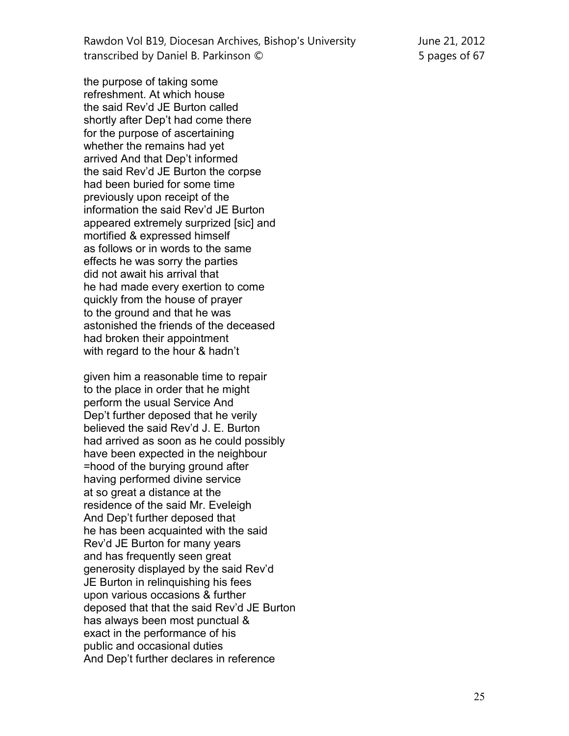the purpose of taking some refreshment. At which house the said Rev'd JE Burton called shortly after Dep't had come there for the purpose of ascertaining whether the remains had yet arrived And that Dep't informed the said Rev'd JE Burton the corpse had been buried for some time previously upon receipt of the information the said Rev'd JE Burton appeared extremely surprized [sic] and mortified & expressed himself as follows or in words to the same effects he was sorry the parties did not await his arrival that he had made every exertion to come quickly from the house of prayer to the ground and that he was astonished the friends of the deceased had broken their appointment with regard to the hour & hadn't

given him a reasonable time to repair to the place in order that he might perform the usual Service And Dep't further deposed that he verily believed the said Rev'd J. E. Burton had arrived as soon as he could possibly have been expected in the neighbour =hood of the burying ground after having performed divine service at so great a distance at the residence of the said Mr. Eveleigh And Dep't further deposed that he has been acquainted with the said Rev'd JE Burton for many years and has frequently seen great generosity displayed by the said Rev'd JE Burton in relinquishing his fees upon various occasions & further deposed that that the said Rev'd JE Burton has always been most punctual & exact in the performance of his public and occasional duties And Dep't further declares in reference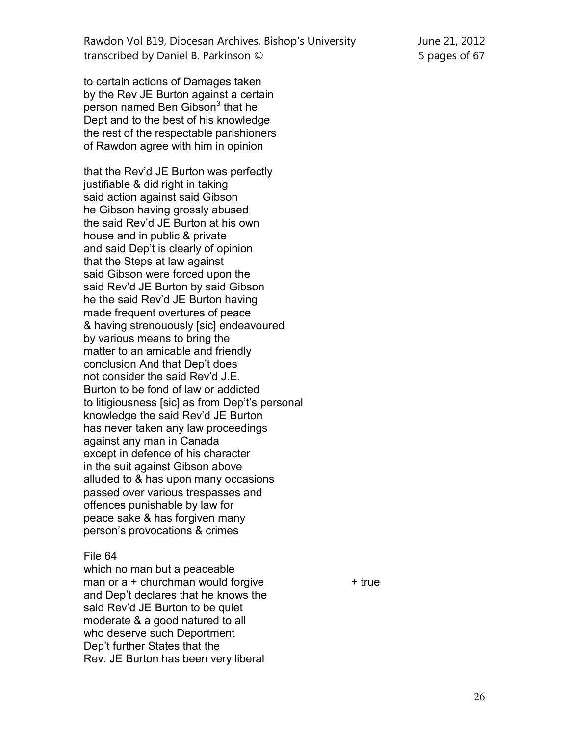Rawdon Vol B19, Diocesan Archives, Bishop's University June 21, 2012 transcribed by Daniel B. Parkinson © 5 pages of 67

to certain actions of Damages taken by the Rev JE Burton against a certain person named Ben Gibson<sup>3</sup> that he Dept and to the best of his knowledge the rest of the respectable parishioners of Rawdon agree with him in opinion

that the Rev'd JE Burton was perfectly justifiable & did right in taking said action against said Gibson he Gibson having grossly abused the said Rev'd JE Burton at his own house and in public & private and said Dep't is clearly of opinion that the Steps at law against said Gibson were forced upon the said Rev'd JE Burton by said Gibson he the said Rev'd JE Burton having made frequent overtures of peace & having strenouously [sic] endeavoured by various means to bring the matter to an amicable and friendly conclusion And that Dep't does not consider the said Rev'd J.E. Burton to be fond of law or addicted to litigiousness [sic] as from Dep't's personal knowledge the said Rev'd JE Burton has never taken any law proceedings against any man in Canada except in defence of his character in the suit against Gibson above alluded to & has upon many occasions passed over various trespasses and offences punishable by law for peace sake & has forgiven many person's provocations & crimes

## File 64

which no man but a peaceable man or  $a +$  churchman would forgive  $+$  true and Dep't declares that he knows the said Rev'd JE Burton to be quiet moderate & a good natured to all who deserve such Deportment Dep't further States that the Rev. JE Burton has been very liberal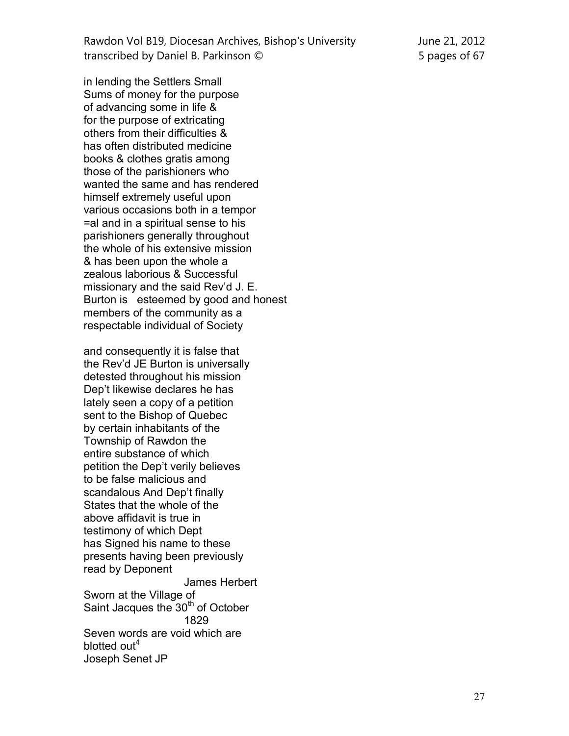| Rawdon Vol B19, Diocesan Archives, Bishop's University |
|--------------------------------------------------------|
| transcribed by Daniel B. Parkinson ©                   |

in lending the Settlers Small Sums of money for the purpose of advancing some in life & for the purpose of extricating others from their difficulties & has often distributed medicine books & clothes gratis among those of the parishioners who wanted the same and has rendered himself extremely useful upon various occasions both in a tempor =al and in a spiritual sense to his parishioners generally throughout the whole of his extensive mission & has been upon the whole a

zealous laborious & Successful missionary and the said Rev'd J. E. Burton is esteemed by good and honest members of the community as a respectable individual of Society

and consequently it is false that the Rev'd JE Burton is universally detested throughout his mission Dep't likewise declares he has lately seen a copy of a petition sent to the Bishop of Quebec by certain inhabitants of the Township of Rawdon the entire substance of which petition the Dep't verily believes to be false malicious and scandalous And Dep't finally States that the whole of the above affidavit is true in testimony of which Dept has Signed his name to these presents having been previously read by Deponent James Herbert Sworn at the Village of Saint Jacques the 30<sup>th</sup> of October 1829 Seven words are void which are blotted out<sup>4</sup> Joseph Senet JP

June 21, 2012 5 pages of 67